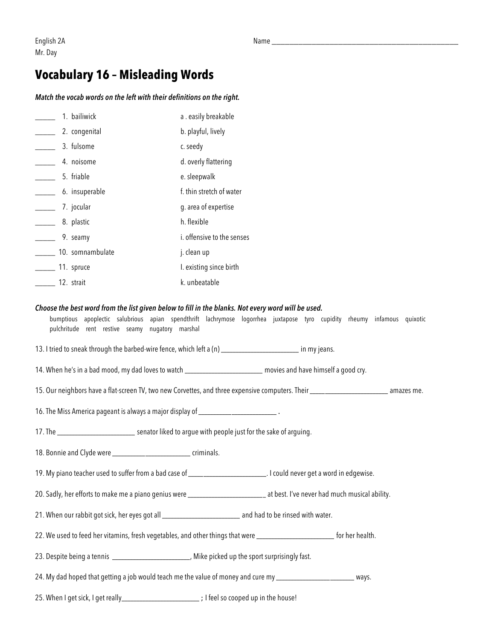### **Vocabulary 16 – Misleading Words**

#### *Match the vocab words on the left with their definitions on the right.*

| 1. bailiwick     | a. easily breakable        |
|------------------|----------------------------|
| 2. congenital    | b. playful, lively         |
| 3. fulsome       | c. seedy                   |
| 4. noisome       | d. overly flattering       |
| 5. friable       | e. sleepwalk               |
| 6. insuperable   | f, thin stretch of water   |
| 7. jocular       | g. area of expertise       |
| 8. plastic       | h. flexible                |
| 9. seamy         | i. offensive to the senses |
| 10. somnambulate | j. clean up                |
| 11. spruce       | I. existing since birth    |
| 12. strait       | k. unbeatable              |

#### *Choose the best word from the list given below to fill in the blanks. Not every word will be used.*

bumptious apoplectic salubrious apian spendthrift lachrymose logorrhea juxtapose tyro cupidity rheumy infamous quixotic pulchritude rent restive seamy nugatory marshal

13. I tried to sneak through the barbed-wire fence, which left a (n) \_\_\_\_\_\_\_\_\_\_\_\_\_\_\_\_\_\_\_\_\_\_\_\_\_\_\_\_\_\_ in my jeans.

14. When he's in a bad mood, my dad loves to watch \_\_\_\_\_\_\_\_\_\_\_\_\_\_\_\_\_\_\_\_\_\_\_\_\_\_ movies and have himself a good cry.

15. Our neighbors have a flat-screen TV, two new Corvettes, and three expensive computers. Their \_\_\_\_\_\_\_\_\_\_\_\_\_\_\_\_\_\_\_\_\_\_\_\_\_\_ amazes me.

16. The Miss America pageant is always a major display of **with the Missuppine of the Miss** 

17. The \_\_\_\_\_\_\_\_\_\_\_\_\_\_\_\_\_\_\_\_\_\_\_\_\_\_ senator liked to argue with people just for the sake of arguing.

18. Bonnie and Clyde were \_\_\_\_\_\_\_\_\_\_\_\_\_\_\_\_\_\_\_\_\_\_\_\_\_\_ criminals.

19. My piano teacher used to suffer from a bad case of \_\_\_\_\_\_\_\_\_\_\_\_\_\_\_\_\_\_\_\_\_\_\_\_\_\_. I could never get a word in edgewise.

20. Sadly, her efforts to make me a piano genius were \_\_\_\_\_\_\_\_\_\_\_\_\_\_\_\_\_\_\_\_\_\_\_\_\_\_\_ at best. I've never had much musical ability.

21. When our rabbit got sick, her eyes got all \_\_\_\_\_\_\_\_\_\_\_\_\_\_\_\_\_\_\_\_\_\_\_\_\_\_ and had to be rinsed with water.

22. We used to feed her vitamins, fresh vegetables, and other things that were \_\_\_\_\_\_\_\_\_\_\_\_\_\_\_\_\_\_\_\_\_\_\_\_\_\_\_\_ for her health.

23. Despite being a tennis \_\_\_\_\_\_\_\_\_\_\_\_\_\_\_\_\_\_\_\_\_\_\_, Mike picked up the sport surprisingly fast.

24. My dad hoped that getting a job would teach me the value of money and cure my \_\_\_\_\_\_\_\_\_\_\_\_\_\_\_\_\_\_\_\_\_\_\_\_\_\_\_ ways.

25. When I get sick, I get really\_\_\_\_\_\_\_\_\_\_\_\_\_\_\_\_\_\_\_\_\_\_\_\_\_\_; I feel so cooped up in the house!